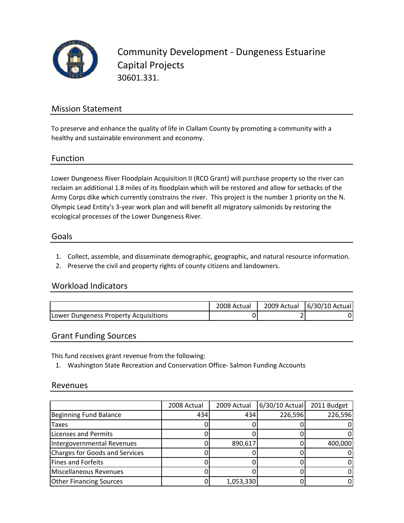

Community Development ‐ Dungeness Estuarine Capital Projects 30601.331.

## Mission Statement

To preserve and enhance the quality of life in Clallam County by promoting a community with a healthy and sustainable environment and economy.

#### Function

Lower Dungeness River Floodplain Acquisition II (RCO Grant) will purchase property so the river can reclaim an additional 1.8 miles of its floodplain which will be restored and allow for setbacks of the Army Corps dike which currently constrains the river. This project is the number 1 priority on the N. Olympic Lead Entity's 3‐year work plan and will benefit all migratory salmonids by restoring the ecological processes of the Lower Dungeness River.

#### Goals

- 1. Collect, assemble, and disseminate demographic, geographic, and natural resource information.
- 2. Preserve the civil and property rights of county citizens and landowners.

### Workload Indicators

|                                       | 2008 Actual | 2009 Actual   6/30/10 Actual |
|---------------------------------------|-------------|------------------------------|
| Lower Dungeness Property Acquisitions |             |                              |

#### Grant Funding Sources

This fund receives grant revenue from the following:

1. Washington State Recreation and Conservation Office‐ Salmon Funding Accounts

#### Revenues

|                                       | 2008 Actual | 2009 Actual | 6/30/10 Actual | 2011 Budget |
|---------------------------------------|-------------|-------------|----------------|-------------|
| <b>Beginning Fund Balance</b>         | 434         | 434         | 226,596        | 226,596     |
| Taxes                                 |             |             |                |             |
| Licenses and Permits                  |             |             |                |             |
| Intergovernmental Revenues            |             | 890,617     |                | 400,000     |
| <b>Charges for Goods and Services</b> |             |             |                |             |
| <b>Fines and Forfeits</b>             |             |             |                |             |
| <b>Miscellaneous Revenues</b>         |             |             |                |             |
| <b>Other Financing Sources</b>        |             | 1,053,330   |                |             |